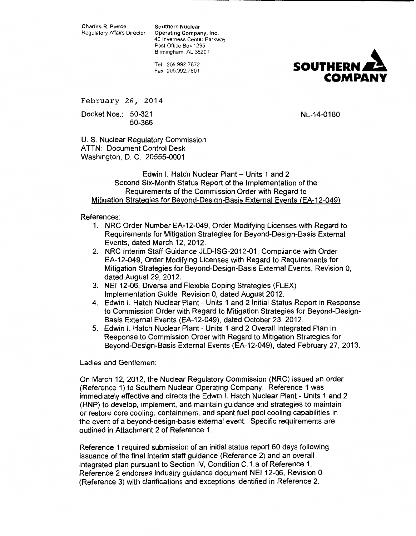Charles R. Pierce Southern Nuclear<br>Regulatory Affairs Director Operating Compa

**Operating Company, Inc.** 40 Inverness Center Parkway Post Office Box 1295 Birmingham. AL 35201

Tel 205.992.7872 Fax 205.992.7601



February 26, 2014

Docket Nos.: 50-321 50-366

NL-14-0180

U.S. Nuclear Regulatory Commission ATTN: Document Control Desk Washington, D. C. 20555-0001

Edwin I. Hatch Nuclear Plant - Units 1 and 2 Second Six-Month Status Report of the Implementation of the Requirements of the Commission Order with Regard to Mitigation Strategies for Beyond-Design-Basis External Events (EA-12-049)

References:

- 1. NRC Order Number EA-12-049, Order Modifying Licenses with Regard to Requirements for Mitigation Strategies for Beyond-Design-Basis External Events, dated March 12, 2012.
- 2. NRC Interim Staff Guidance JLD-ISG-2012-01, Compliance with Order EA-12-049, Order Modifying Licenses with Regard to Requirements for Mitigation Strategies for Beyond-Design-Basis External Events, Revision 0, dated August 29, 2012.
- 3. NEI 12-06, Diverse and Flexible Coping Strategies (FLEX) Implementation Guide, Revision 0, dated August 2012.
- 4. Edwin I. Hatch Nuclear Plant- Units 1 and 2 Initial Status Report in Response to Commission Order with Regard to Mitigation Strategies for Beyond-Design-Basis External Events (EA-12-049), dated October 23, 2012.
- 5. Edwin I. Hatch Nuclear Plant- Units 1 and 2 Overall Integrated Plan in Response to Commission Order with Regard to Mitigation Strategies for Beyond-Design-Basis External Events (EA-12-049), dated February 27, 2013.

Ladies and Gentlemen:

On March 12, 2012, the Nuclear Regulatory Commission (NRC) issued an order (Reference 1) to Southern Nuclear Operating Company. Reference 1 was immediately effective and directs the Edwin I. Hatch Nuclear Plant - Units 1 and 2 (HNP) to develop, implement, and maintain guidance and strategies to maintain or restore core cooling, containment, and spent fuel pool cooling capabilities in the event of a beyond-design-basis external event. Specific requirements are outlined in Attachment 2 of Reference 1.

Reference 1 required submission of an initial status report 60 days following issuance of the final interim staff guidance (Reference 2) and an overall integrated plan pursuant to Section IV, Condition C.1.a of Reference 1. Reference 2 endorses industry guidance document NEI 12-06, Revision 0 (Reference 3) with clarifications and exceptions identified in Reference 2.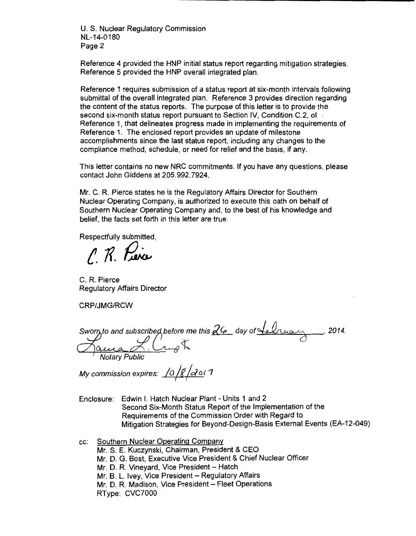U. S. Nuclear Regulatory Commission NL-14-0180 Page 2

Reference 4 provided the HNP initial status report regarding mitigation strategies. Reference 5 provided the HNP overall integrated plan.

Reference 1 requires submission of a status report at six-month intervals following submittal of the overall integrated plan. Reference 3 provides direction regarding the content of the status reports. The purpose of this letter is to provide the second six-month status report pursuant to Section IV, Condition C.2, of . Reference 1, that delineates progress made in implementing the requirements of Reference 1. The enclosed report provides an update of milestone accomplishments since the last status report, including any changes to the compliance method, schedule, or need for relief and the basis, if any.

This letter contains no new NRC commitments. If you have any questions, please contact John Giddens at 205.992.7924.

Mr. C. R. Pierce states he is the Regulatory Affairs Director for Southern Nuclear Operating Company, is authorized to execute this oath on behalf of Southern Nuclear Operating Company and, to the best of his knowledge and belief, the facts set forth in this letter are true.

Respectfully submitted,

C. R. Pierce

C. R. Pierce Regulatory Affairs Director

CRP/JMG/RCW

*Sworn to and subscribed before me this 26 day of Lebruary*  $\frac{2}{\sqrt{2}}$  to and subscribe weight  $-$ , 2014.

My commission expires: <u>/0 /8 /2 o</u> l 1

Enclosure: Edwin I. Hatch Nuclear Plant - Units 1 and 2 Second Six-Month Status Report of the Implementation of the Requirements of the Commission Order with Regard to Mitigation Strategies for Beyond-Design-Basis External Events (EA-12-049)

cc: Southern Nuclear Operating Company

Mr. S. E. Kuczynski, Chairman, President & CEO

Mr. D. G. Bast, Executive Vice President & Chief Nuclear Officer

Mr. D. R. Vineyard, Vice President - Hatch

Mr. B. L. Ivey, Vice President - Regulatory Affairs

Mr. D. R. Madison, Vice President - Fleet Operations

RType: CVC?OOO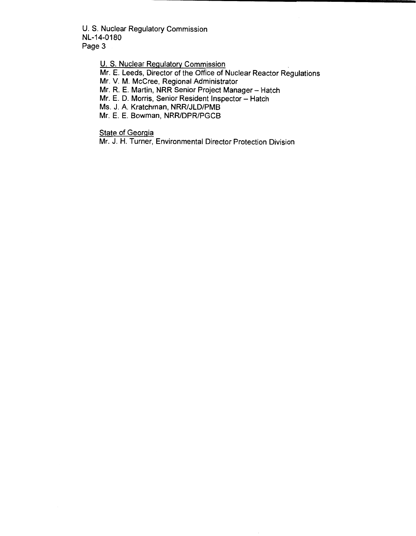U.S. Nuclear Regulatory Commission NL-14-0180 Page 3

U.S. Nuclear Regulatory Commission

Mr. E. Leeds, Director of the Office of Nuclear Reactor Regulations

Mr. V. M. McCree, Regional Administrator

Mr. R. E. Martin, NRR Senior Project Manager- Hatch

Mr. E. D. Morris, Senior Resident Inspector - Hatch

Ms. J. A. Kratchman, NRR/JLD/PMB

Mr. E. E. Bowman, NRR/DPR/PGCB

**State of Georgia** 

Mr. J. H. Turner, Environmental Director Protection Division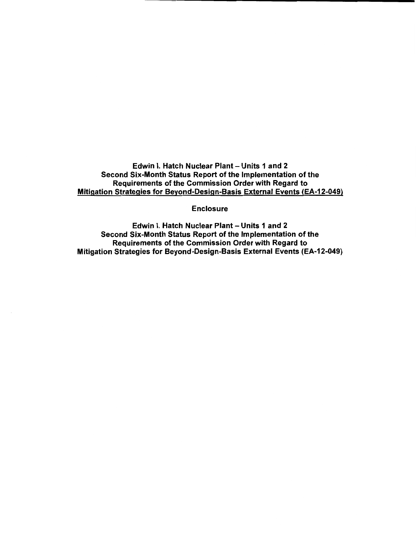Edwin I. Hatch Nuclear Plant- Units 1 and 2 Second Six-Month Status Report of the Implementation of the Requirements of the Commission Order with Regard to Mitigation Strategies for Beyond-Design-Basis External Events (EA-12-049)

Enclosure

Edwin I. Hatch Nuclear Plant- Units 1 and 2 Second Six-Month Status Report of the Implementation of the Requirements of the Commission Order with Regard to Mitigation Strategies for Beyond-Design-Basis External Events (EA-12-049)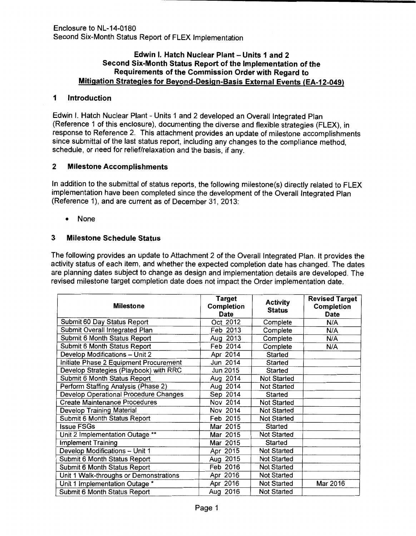## Edwin I. Hatch Nuclear Plant- Units 1 and 2 Second Six-Month Status Report of the Implementation of the Requirements of the Commission Order with Regard to Mitigation Strategies for Beyond-Design-Basis External Events (EA-12-049)

## 1 Introduction

Edwin I. Hatch Nuclear Plant- Units 1 and 2 developed an Overall Integrated Plan (Reference 1 of this enclosure), documenting the diverse and flexible strategies (FLEX), in response to Reference 2. This attachment provides an update of milestone accomplishments since submittal of the last status report, including any changes to the compliance method, schedule, or need for relief/relaxation and the basis, if any.

# 2 Milestone Accomplishments

In addition to the submittal of status reports, the following milestone(s) directly related to FLEX implementation have been completed since the development of the Overall Integrated Plan (Reference 1), and are current as of December 31, 2013:

• None

# 3 Milestone Schedule Status

The following provides an update to Attachment 2 of the Overall Integrated Plan. It provides the activity status of each item, and whether the expected completion date has changed. The dates are planning dates subject to change as design and implementation details are developed. The revised milestone target completion date does not impact the Order implementation date.

| <b>Milestone</b>                       | <b>Target</b><br><b>Completion</b><br><b>Date</b> | <b>Activity</b><br><b>Status</b> | <b>Revised Target</b><br><b>Completion</b><br><b>Date</b> |
|----------------------------------------|---------------------------------------------------|----------------------------------|-----------------------------------------------------------|
| Submit 60 Day Status Report            | Oct 2012                                          | Complete                         | N/A                                                       |
| Submit Overall Integrated Plan         | Feb 2013                                          | Complete                         | N/A                                                       |
| Submit 6 Month Status Report           | Aug 2013                                          | Complete                         | N/A                                                       |
| Submit 6 Month Status Report           | Feb 2014                                          | Complete                         | N/A                                                       |
| Develop Modifications - Unit 2         | Apr 2014                                          | Started                          |                                                           |
| Initiate Phase 2 Equipment Procurement | Jun 2014                                          | Started                          |                                                           |
| Develop Strategies (Playbook) with RRC | Jun 2015                                          | Started                          |                                                           |
| Submit 6 Month Status Report           | Aug 2014                                          | <b>Not Started</b>               |                                                           |
| Perform Staffing Analysis (Phase 2)    | Aug 2014                                          | <b>Not Started</b>               |                                                           |
| Develop Operational Procedure Changes  | Sep 2014                                          | Started                          |                                                           |
| <b>Create Maintenance Procedures</b>   | Nov 2014                                          | Not Started                      |                                                           |
| Develop Training Material              | Nov 2014                                          | <b>Not Started</b>               |                                                           |
| Submit 6 Month Status Report           | Feb 2015                                          | <b>Not Started</b>               |                                                           |
| <b>Issue FSGs</b>                      | Mar 2015                                          | Started                          |                                                           |
| Unit 2 Implementation Outage **        | Mar 2015                                          | <b>Not Started</b>               |                                                           |
| <b>Implement Training</b>              | Mar 2015                                          | Started                          |                                                           |
| Develop Modifications - Unit 1         | Apr 2015                                          | Not Started                      |                                                           |
| Submit 6 Month Status Report           | Aug 2015                                          | Not Started                      |                                                           |
| Submit 6 Month Status Report           | Feb 2016                                          | Not Started                      |                                                           |
| Unit 1 Walk-throughs or Demonstrations | Apr 2016                                          | Not Started                      |                                                           |
| Unit 1 Implementation Outage *         | Apr 2016                                          | <b>Not Started</b>               | Mar 2016                                                  |
| Submit 6 Month Status Report           | Aug 2016                                          | <b>Not Started</b>               |                                                           |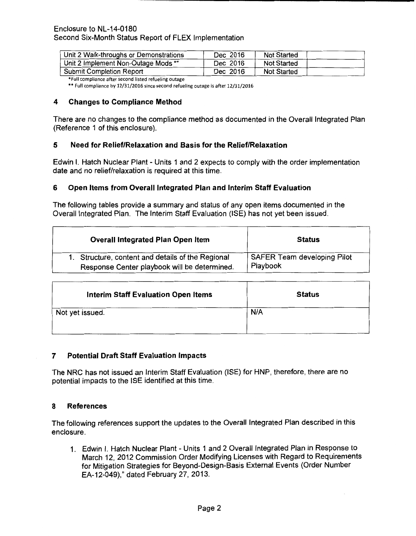| Unit 2 Walk-throughs or Demonstrations | Dec 2016 | <b>Not Started</b> |  |
|----------------------------------------|----------|--------------------|--|
| Unit 2 Implement Non-Outage Mods **    | Dec 2016 | Not Started        |  |
| <b>Submit Completion Report</b>        | Dec 2016 | Not Started        |  |

\*Full compliance after second listed refueling outage

•• Full compliance by 12/31/2016 since second refueling outage is after 12/31/2016

### 4 Changes to Compliance Method

There are no changes to the compliance method as documented in the Overall Integrated Plan (Reference 1 of this enclosure).

## 5 Need for Relief/Relaxation and Basis for the Relief/Relaxation

Edwin I. Hatch Nuclear Plant- Units 1 and 2 expects to comply with the order implementation date and no relief/relaxation is required at this time.

## 6 Open Items from Overall Integrated Plan and Interim Staff Evaluation

The following tables provide a summary and status of any open items documented in the Overall Integrated Plan. The Interim Staff Evaluation (ISE) has not yet been issued.

| <b>Overall Integrated Plan Open Item</b>          | <b>Status</b>                      |
|---------------------------------------------------|------------------------------------|
| 1. Structure, content and details of the Regional | <b>SAFER Team developing Pilot</b> |
| Response Center playbook will be determined.      | Playbook                           |

| <b>Interim Staff Evaluation Open Items</b> | <b>Status</b> |
|--------------------------------------------|---------------|
| Not yet issued.                            | N/A           |

### 7 Potential Draft Staff Evaluation Impacts

The NRC has not issued an Interim Staff Evaluation (ISE) for HNP, therefore, there are no potential impacts to the ISE identified at this time.

### 8 References

The following references support the updates to the Overall Integrated Plan described in this enclosure.

1. Edwin I. Hatch Nuclear Plant - Units 1 and 2 Overall Integrated Plan in Response to March 12, 2012 Commission Order Modifying Licenses with Regard to Requirements for Mitigation Strategies for Beyond-Design-Basis External Events (Order Number EA-12-049)," dated February 27, 2013.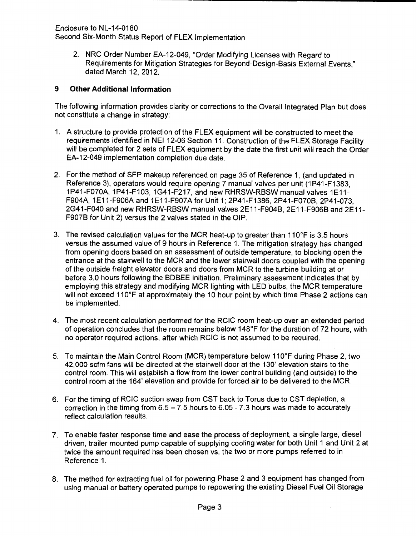Enclosure to NL-14-0180

Second Six-Month Status Report of FLEX Implementation

2. NRC Order Number EA-12-049, "Order Modifying Licenses with Regard to Requirements for Mitigation Strategies for Beyond-Design-Basis External Events," dated March 12, 2012.

# **9 Other Additional Information**

The following information provides clarity or corrections to the Overall Integrated Plan but does not constitute a change in strategy:

- 1. A structure to provide protection of the FLEX equipment will be constructed to meet the requirements identified in NEI 12-06 Section 11. Construction of the FLEX Storage Facility will be completed for 2 sets of FLEX equipment by the date the first unit will reach the Order EA-12-049 implementation completion due date.
- 2. For the method of SFP makeup referenced on page 35 of Reference 1, (and updated in Reference 3), operators would require opening 7 manual valves per unit (1P41-F1383, 1P41-F070A, 1P41-F103, 1G41-F217, and new RHRSW-RBSW manual valves 1E11- F904A, 1E11-F906A and 1E11-F907A for Unit 1; 2P41-F1386, 2P41-F070B, 2P41-073, 2G41-F040 and new RHRSW-RBSW manual valves 2E11-F904B, 2E11-F906B and 2E11- F907B for Unit 2) versus the 2 valves stated in the OIP.
- 3. The revised calculation values for the MCR heat-up to greater than  $110^{\circ}$ F is 3.5 hours versus the assumed value of 9 hours in Reference 1. The mitigation strategy has changed from opening doors based on an assessment of outside temperature, to blocking open the entrance at the stairwell to the MCR and the lower stairwell doors coupled with the opening of the outside freight elevator doors and doors from MCR to the turbine building at or before 3.0 hours following the BDBEE initiation. Preliminary assessment indicates that by employing this strategy and modifying MCR lighting with LED bulbs, the MCR temperature will not exceed 110°F at approximately the 10 hour point by which time Phase 2 actions can be implemented.
- 4. The most recent calculation performed for the RCIC room heat-up over an extended period of operation concludes that the room remains below 148°F for the duration of 72 hours, with no operator required actions, after which RCIC is not assumed to be required.
- 5. To maintain the Main Control Room (MCR) temperature below 110°F during Phase 2, two 42,000 scfm fans will be directed at the stairwell door at the 130' elevation stairs to the control room. This will establish a flow from the lower control building (and outside) to the control room at the 164' elevation and provide for forced air to be delivered to the MCR.
- 6. For the timing of RCIC suction swap from CST back to Torus due to CST depletion, a correction in the timing from  $6.5 - 7.5$  hours to  $6.05 - 7.3$  hours was made to accurately reflect calculation results.
- 7. To enable faster response time and ease the process of deployment, a single large, diesel driven, trailer mounted pump capable of supplying cooling water for both Unit 1 and Unit 2 at twice the amount required has been chosen vs. the two or more pumps referred to in Reference 1.
- 8. The method for extracting fuel oil for powering Phase 2 and 3 equipment has changed from using manual or battery operated pumps to repowering the existing Diesel Fuel Oil Storage